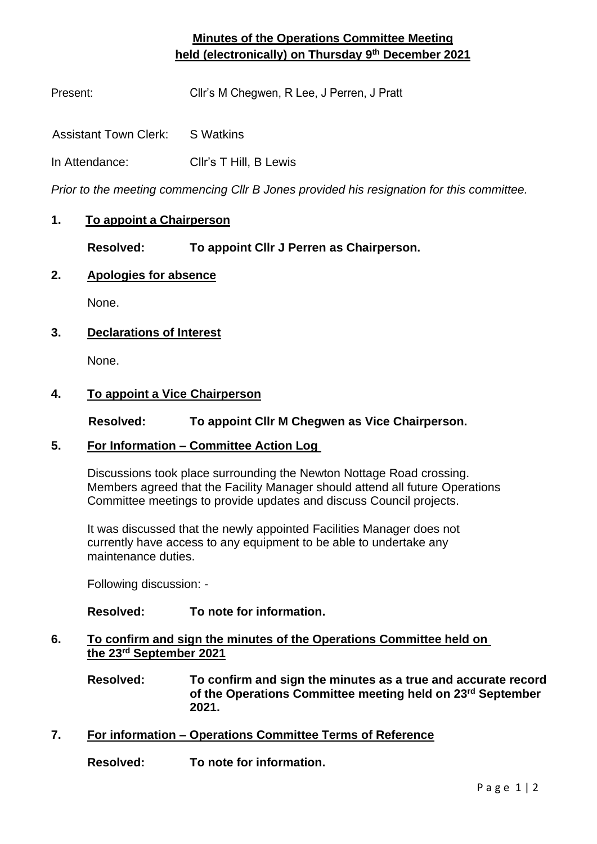## **Minutes of the Operations Committee Meeting held (electronically) on Thursday 9 th December 2021**

Present: Cllr's M Chegwen, R Lee, J Perren, J Pratt

Assistant Town Clerk: S Watkins

In Attendance: Cllr's T Hill, B Lewis

*Prior to the meeting commencing Cllr B Jones provided his resignation for this committee.*

## **1. To appoint a Chairperson**

**Resolved: To appoint Cllr J Perren as Chairperson.**

## **2. Apologies for absence**

None.

## **3. Declarations of Interest**

None.

#### **4. To appoint a Vice Chairperson**

 **Resolved: To appoint Cllr M Chegwen as Vice Chairperson.**

#### **5. For Information – Committee Action Log**

Discussions took place surrounding the Newton Nottage Road crossing. Members agreed that the Facility Manager should attend all future Operations Committee meetings to provide updates and discuss Council projects.

It was discussed that the newly appointed Facilities Manager does not currently have access to any equipment to be able to undertake any maintenance duties.

Following discussion: -

## **Resolved: To note for information.**

- **6. To confirm and sign the minutes of the Operations Committee held on the 23rd September 2021**
	- **Resolved: To confirm and sign the minutes as a true and accurate record of the Operations Committee meeting held on 23rd September 2021.**
- **7. For information – Operations Committee Terms of Reference**

**Resolved: To note for information.**